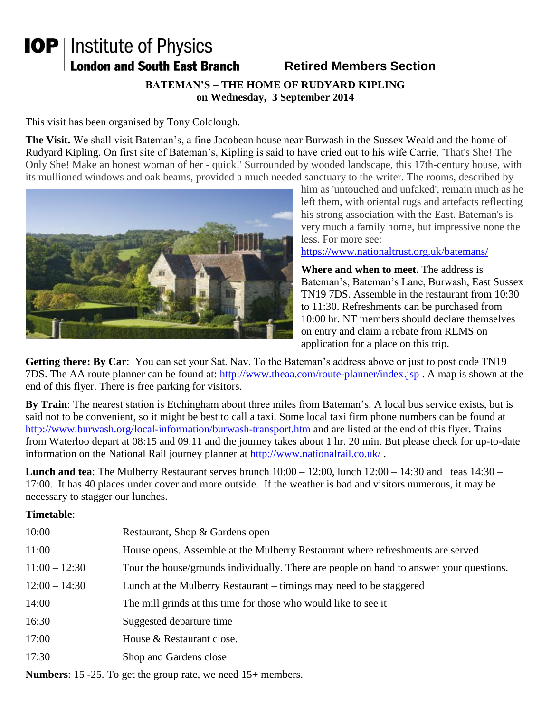## **IOP** | Institute of Physics **London and South East Branch**

## **Retired Members Section**

**BATEMAN'S – THE HOME OF RUDYARD KIPLING on Wednesday, 3 September 2014**

This visit has been organised by Tony Colclough.

**The Visit.** We shall visit Bateman's, a fine Jacobean house near Burwash in the Sussex Weald and the home of Rudyard Kipling. On first site of Bateman's, Kipling is said to have cried out to his wife Carrie, 'That's She! The Only She! Make an honest woman of her - quick!' Surrounded by wooded landscape, this 17th-century house, with its mullioned windows and oak beams, provided a much needed sanctuary to the writer. The rooms, described by



him as 'untouched and unfaked', remain much as he left them, with oriental rugs and artefacts reflecting his strong association with the East. Bateman's is very much a family home, but impressive none the less. For more see:

<https://www.nationaltrust.org.uk/batemans/>

**Where and when to meet.** The address is Bateman's, Bateman's Lane, Burwash, East Sussex TN19 7DS. Assemble in the restaurant from 10:30 to 11:30. Refreshments can be purchased from 10:00 hr. NT members should declare themselves on entry and claim a rebate from REMS on application for a place on this trip.

**Getting there: By Car**: You can set your Sat. Nav. To the Bateman's address above or just to post code TN19 7DS. The AA route planner can be found at:<http://www.theaa.com/route-planner/index.jsp> . A map is shown at the end of this flyer. There is free parking for visitors.

**By Train**: The nearest station is Etchingham about three miles from Bateman's. A local bus service exists, but is said not to be convenient, so it might be best to call a taxi. Some local taxi firm phone numbers can be found at <http://www.burwash.org/local-information/burwash-transport.htm> and are listed at the end of this flyer. Trains from Waterloo depart at 08:15 and 09.11 and the journey takes about 1 hr. 20 min. But please check for up-to-date information on the National Rail journey planner at<http://www.nationalrail.co.uk/>.

**Lunch and tea**: The Mulberry Restaurant serves brunch  $10:00 - 12:00$ , lunch  $12:00 - 14:30$  and teas  $14:30 -$ 17:00. It has 40 places under cover and more outside. If the weather is bad and visitors numerous, it may be necessary to stagger our lunches.

## **Timetable**:

| 10:00           | Restaurant, Shop & Gardens open                                                         |
|-----------------|-----------------------------------------------------------------------------------------|
| 11:00           | House opens. Assemble at the Mulberry Restaurant where refreshments are served          |
| $11:00 - 12:30$ | Tour the house/grounds individually. There are people on hand to answer your questions. |
| $12:00 - 14:30$ | Lunch at the Mulberry Restaurant – timings may need to be staggered                     |
| 14:00           | The mill grinds at this time for those who would like to see it                         |
| 16:30           | Suggested departure time                                                                |
| 17:00           | House & Restaurant close.                                                               |
| 17:30           | Shop and Gardens close                                                                  |
|                 |                                                                                         |

**Numbers**: 15 -25. To get the group rate, we need 15+ members.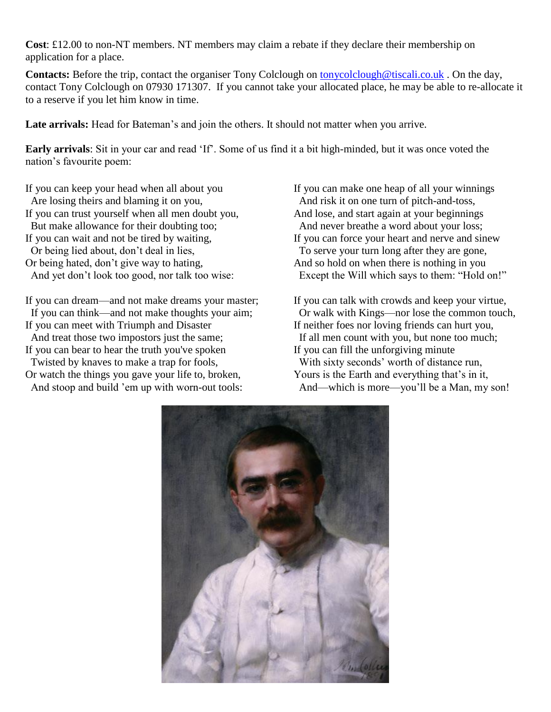**Cost**: £12.00 to non-NT members. NT members may claim a rebate if they declare their membership on application for a place.

**Contacts:** Before the trip, contact the organiser Tony Colclough on [tonycolclough@tiscali.co.uk](mailto:tonycolclough@tiscali.co.uk). On the day, contact Tony Colclough on 07930 171307. If you cannot take your allocated place, he may be able to re-allocate it to a reserve if you let him know in time.

Late arrivals: Head for Bateman's and join the others. It should not matter when you arrive.

**Early arrivals**: Sit in your car and read 'If'. Some of us find it a bit high-minded, but it was once voted the nation's favourite poem:

If you can keep your head when all about you Are losing theirs and blaming it on you, If you can trust yourself when all men doubt you, But make allowance for their doubting too; If you can wait and not be tired by waiting, Or being lied about, don't deal in lies, Or being hated, don't give way to hating, And yet don't look too good, nor talk too wise:

If you can dream—and not make dreams your master; If you can think—and not make thoughts your aim; If you can meet with Triumph and Disaster

And treat those two impostors just the same;

If you can bear to hear the truth you've spoken Twisted by knaves to make a trap for fools, Or watch the things you gave your life to, broken,

And stoop and build 'em up with worn-out tools:

If you can make one heap of all your winnings And risk it on one turn of pitch-and-toss, And lose, and start again at your beginnings And never breathe a word about your loss; If you can force your heart and nerve and sinew To serve your turn long after they are gone, And so hold on when there is nothing in you Except the Will which says to them: "Hold on!"

If you can talk with crowds and keep your virtue, Or walk with Kings—nor lose the common touch, If neither foes nor loving friends can hurt you, If all men count with you, but none too much; If you can fill the unforgiving minute With sixty seconds' worth of distance run, Yours is the Earth and everything that's in it, And—which is more—you'll be a Man, my son!